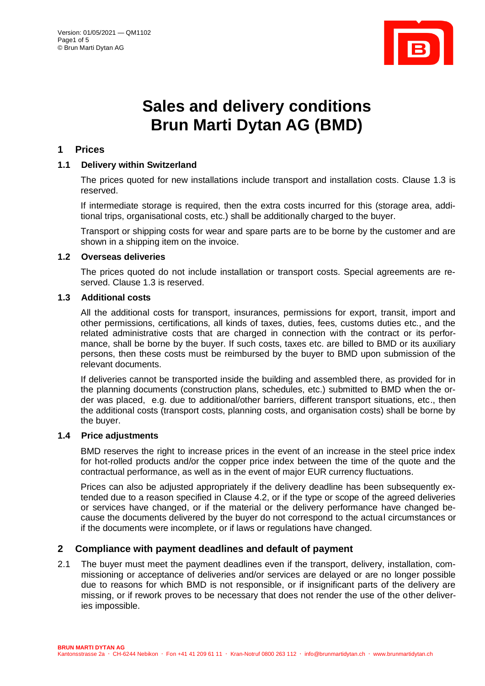

# **Sales and delivery conditions Brun Marti Dytan AG (BMD)**

## **1 Prices**

## **1.1 Delivery within Switzerland**

The prices quoted for new installations include transport and installation costs. Clause 1.3 is reserved.

If intermediate storage is required, then the extra costs incurred for this (storage area, additional trips, organisational costs, etc.) shall be additionally charged to the buyer.

Transport or shipping costs for wear and spare parts are to be borne by the customer and are shown in a shipping item on the invoice.

#### **1.2 Overseas deliveries**

The prices quoted do not include installation or transport costs. Special agreements are reserved. Clause 1.3 is reserved.

# **1.3 Additional costs**

All the additional costs for transport, insurances, permissions for export, transit, import and other permissions, certifications, all kinds of taxes, duties, fees, customs duties etc., and the related administrative costs that are charged in connection with the contract or its performance, shall be borne by the buyer. If such costs, taxes etc. are billed to BMD or its auxiliary persons, then these costs must be reimbursed by the buyer to BMD upon submission of the relevant documents.

If deliveries cannot be transported inside the building and assembled there, as provided for in the planning documents (construction plans, schedules, etc.) submitted to BMD when the order was placed, e.g. due to additional/other barriers, different transport situations, etc., then the additional costs (transport costs, planning costs, and organisation costs) shall be borne by the buyer.

## **1.4 Price adjustments**

BMD reserves the right to increase prices in the event of an increase in the steel price index for hot-rolled products and/or the copper price index between the time of the quote and the contractual performance, as well as in the event of major EUR currency fluctuations.

Prices can also be adjusted appropriately if the delivery deadline has been subsequently extended due to a reason specified in Clause 4.2, or if the type or scope of the agreed deliveries or services have changed, or if the material or the delivery performance have changed because the documents delivered by the buyer do not correspond to the actual circumstances or if the documents were incomplete, or if laws or regulations have changed.

## **2 Compliance with payment deadlines and default of payment**

2.1 The buyer must meet the payment deadlines even if the transport, delivery, installation, commissioning or acceptance of deliveries and/or services are delayed or are no longer possible due to reasons for which BMD is not responsible, or if insignificant parts of the delivery are missing, or if rework proves to be necessary that does not render the use of the other deliveries impossible.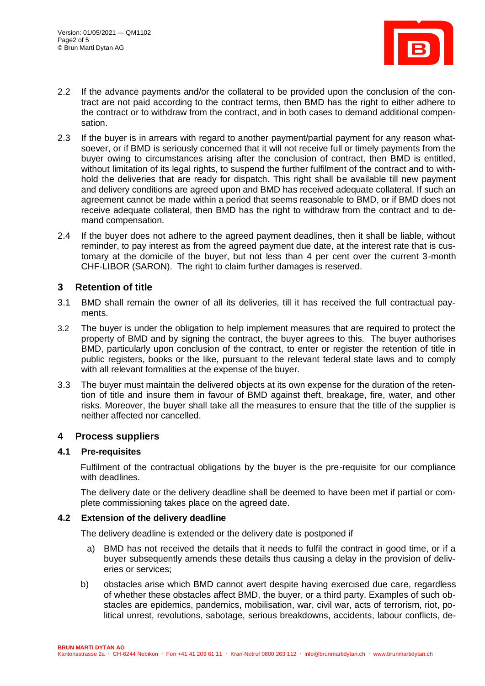

- 2.2 If the advance payments and/or the collateral to be provided upon the conclusion of the contract are not paid according to the contract terms, then BMD has the right to either adhere to the contract or to withdraw from the contract, and in both cases to demand additional compensation.
- 2.3 If the buyer is in arrears with regard to another payment/partial payment for any reason whatsoever, or if BMD is seriously concerned that it will not receive full or timely payments from the buyer owing to circumstances arising after the conclusion of contract, then BMD is entitled, without limitation of its legal rights, to suspend the further fulfilment of the contract and to withhold the deliveries that are ready for dispatch. This right shall be available till new payment and delivery conditions are agreed upon and BMD has received adequate collateral. If such an agreement cannot be made within a period that seems reasonable to BMD, or if BMD does not receive adequate collateral, then BMD has the right to withdraw from the contract and to demand compensation.
- 2.4 If the buyer does not adhere to the agreed payment deadlines, then it shall be liable, without reminder, to pay interest as from the agreed payment due date, at the interest rate that is customary at the domicile of the buyer, but not less than 4 per cent over the current 3-month CHF-LIBOR (SARON). The right to claim further damages is reserved.

# **3 Retention of title**

- 3.1 BMD shall remain the owner of all its deliveries, till it has received the full contractual payments.
- 3.2 The buyer is under the obligation to help implement measures that are required to protect the property of BMD and by signing the contract, the buyer agrees to this. The buyer authorises BMD, particularly upon conclusion of the contract, to enter or register the retention of title in public registers, books or the like, pursuant to the relevant federal state laws and to comply with all relevant formalities at the expense of the buyer.
- 3.3 The buyer must maintain the delivered objects at its own expense for the duration of the retention of title and insure them in favour of BMD against theft, breakage, fire, water, and other risks. Moreover, the buyer shall take all the measures to ensure that the title of the supplier is neither affected nor cancelled.

# **4 Process suppliers**

## **4.1 Pre-requisites**

Fulfilment of the contractual obligations by the buyer is the pre-requisite for our compliance with deadlines.

The delivery date or the delivery deadline shall be deemed to have been met if partial or complete commissioning takes place on the agreed date.

#### **4.2 Extension of the delivery deadline**

The delivery deadline is extended or the delivery date is postponed if

- a) BMD has not received the details that it needs to fulfil the contract in good time, or if a buyer subsequently amends these details thus causing a delay in the provision of deliveries or services;
- b) obstacles arise which BMD cannot avert despite having exercised due care, regardless of whether these obstacles affect BMD, the buyer, or a third party. Examples of such obstacles are epidemics, pandemics, mobilisation, war, civil war, acts of terrorism, riot, political unrest, revolutions, sabotage, serious breakdowns, accidents, labour conflicts, de-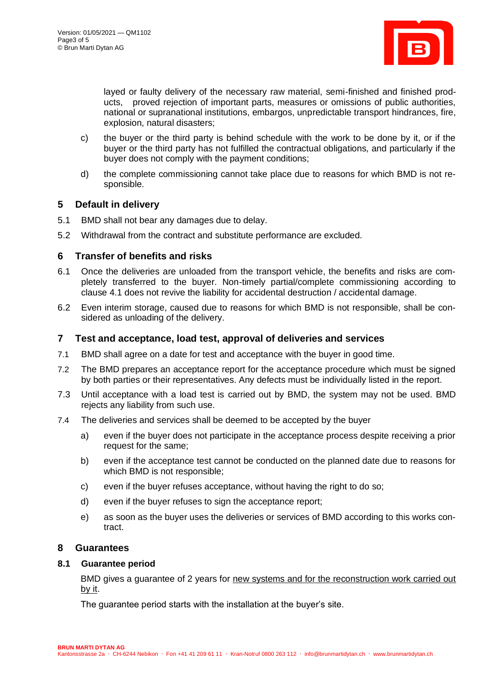

layed or faulty delivery of the necessary raw material, semi-finished and finished products, proved rejection of important parts, measures or omissions of public authorities, national or supranational institutions, embargos, unpredictable transport hindrances, fire, explosion, natural disasters;

- c) the buyer or the third party is behind schedule with the work to be done by it, or if the buyer or the third party has not fulfilled the contractual obligations, and particularly if the buyer does not comply with the payment conditions;
- d) the complete commissioning cannot take place due to reasons for which BMD is not responsible.

# **5 Default in delivery**

- 5.1 BMD shall not bear any damages due to delay.
- 5.2 Withdrawal from the contract and substitute performance are excluded.

## **6 Transfer of benefits and risks**

- 6.1 Once the deliveries are unloaded from the transport vehicle, the benefits and risks are completely transferred to the buyer. Non-timely partial/complete commissioning according to clause 4.1 does not revive the liability for accidental destruction / accidental damage.
- 6.2 Even interim storage, caused due to reasons for which BMD is not responsible, shall be considered as unloading of the delivery.

## **7 Test and acceptance, load test, approval of deliveries and services**

- 7.1 BMD shall agree on a date for test and acceptance with the buyer in good time.
- 7.2 The BMD prepares an acceptance report for the acceptance procedure which must be signed by both parties or their representatives. Any defects must be individually listed in the report.
- 7.3 Until acceptance with a load test is carried out by BMD, the system may not be used. BMD rejects any liability from such use.
- 7.4 The deliveries and services shall be deemed to be accepted by the buyer
	- a) even if the buyer does not participate in the acceptance process despite receiving a prior request for the same;
	- b) even if the acceptance test cannot be conducted on the planned date due to reasons for which BMD is not responsible;
	- c) even if the buyer refuses acceptance, without having the right to do so;
	- d) even if the buyer refuses to sign the acceptance report;
	- e) as soon as the buyer uses the deliveries or services of BMD according to this works contract.

## **8 Guarantees**

#### **8.1 Guarantee period**

BMD gives a guarantee of 2 years for new systems and for the reconstruction work carried out by it.

The guarantee period starts with the installation at the buyer's site.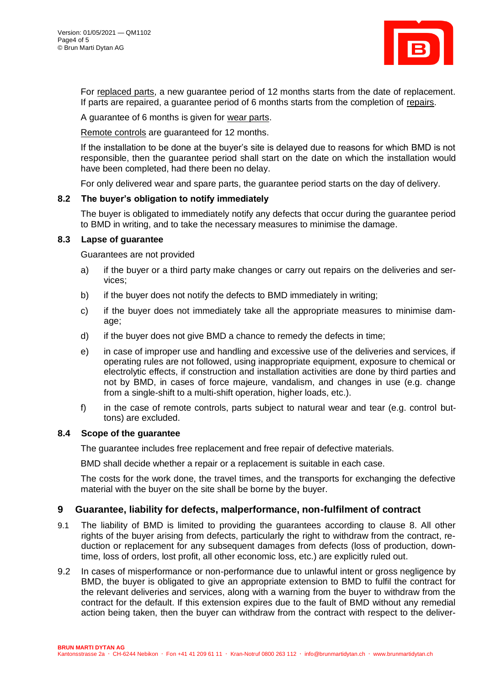

For replaced parts, a new guarantee period of 12 months starts from the date of replacement. If parts are repaired, a guarantee period of 6 months starts from the completion of repairs.

A guarantee of 6 months is given for wear parts.

Remote controls are guaranteed for 12 months.

If the installation to be done at the buyer's site is delayed due to reasons for which BMD is not responsible, then the guarantee period shall start on the date on which the installation would have been completed, had there been no delay.

For only delivered wear and spare parts, the guarantee period starts on the day of delivery.

## **8.2 The buyer's obligation to notify immediately**

The buyer is obligated to immediately notify any defects that occur during the guarantee period to BMD in writing, and to take the necessary measures to minimise the damage.

#### **8.3 Lapse of guarantee**

Guarantees are not provided

- a) if the buyer or a third party make changes or carry out repairs on the deliveries and services;
- b) if the buyer does not notify the defects to BMD immediately in writing;
- c) if the buyer does not immediately take all the appropriate measures to minimise damage;
- d) if the buyer does not give BMD a chance to remedy the defects in time;
- e) in case of improper use and handling and excessive use of the deliveries and services, if operating rules are not followed, using inappropriate equipment, exposure to chemical or electrolytic effects, if construction and installation activities are done by third parties and not by BMD, in cases of force majeure, vandalism, and changes in use (e.g. change from a single-shift to a multi-shift operation, higher loads, etc.).
- f) in the case of remote controls, parts subject to natural wear and tear (e.g. control buttons) are excluded.

#### **8.4 Scope of the guarantee**

The guarantee includes free replacement and free repair of defective materials.

BMD shall decide whether a repair or a replacement is suitable in each case.

The costs for the work done, the travel times, and the transports for exchanging the defective material with the buyer on the site shall be borne by the buyer.

## **9 Guarantee, liability for defects, malperformance, non-fulfilment of contract**

- 9.1 The liability of BMD is limited to providing the guarantees according to clause 8. All other rights of the buyer arising from defects, particularly the right to withdraw from the contract, reduction or replacement for any subsequent damages from defects (loss of production, downtime, loss of orders, lost profit, all other economic loss, etc.) are explicitly ruled out.
- 9.2 In cases of misperformance or non-performance due to unlawful intent or gross negligence by BMD, the buyer is obligated to give an appropriate extension to BMD to fulfil the contract for the relevant deliveries and services, along with a warning from the buyer to withdraw from the contract for the default. If this extension expires due to the fault of BMD without any remedial action being taken, then the buyer can withdraw from the contract with respect to the deliver-